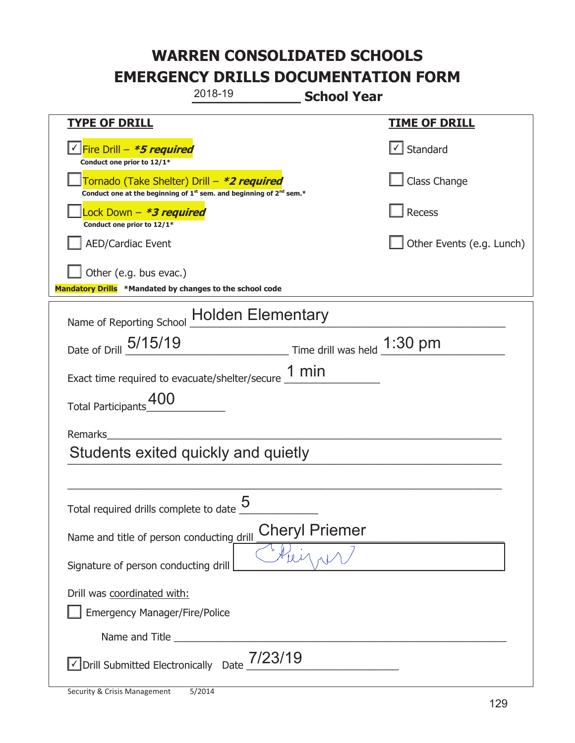|                                                                                    | 2018-19<br><b>School Year</b>                                                 |                           |
|------------------------------------------------------------------------------------|-------------------------------------------------------------------------------|---------------------------|
| <u>TYPE OF DRILL</u>                                                               |                                                                               | <u>TIME OF DRILL</u>      |
| <u>√ Fire Drill – <b>*5 required</b></u><br>Conduct one prior to 12/1*             |                                                                               | $\cup$ Standard           |
| Tornado (Take Shelter) Drill – *2 required                                         | Conduct one at the beginning of $1^{st}$ sem. and beginning of $2^{nd}$ sem.* | Class Change              |
| ock Down - <b>*3 required</b><br>Conduct one prior to 12/1*                        |                                                                               | Recess                    |
| <b>AED/Cardiac Event</b>                                                           |                                                                               | Other Events (e.g. Lunch) |
| Other (e.g. bus evac.)<br>Mandatory Drills *Mandated by changes to the school code |                                                                               |                           |
|                                                                                    | Name of Reporting School Holden Elementary                                    |                           |
| Date of Drill 5/15/19                                                              | Time drill was held 1:30 pm                                                   |                           |
|                                                                                    | Exact time required to evacuate/shelter/secure $\underline{1}$ min            |                           |
| <b>Total Participants</b>                                                          |                                                                               |                           |
| Remarks<br>Students exited quickly and quietly                                     |                                                                               |                           |
| Total required drills complete to date                                             | 5                                                                             |                           |
| Name and title of person conducting drill                                          | <b>Cheryl Priemer</b>                                                         |                           |
| Signature of person conducting drill                                               |                                                                               |                           |
| Drill was coordinated with:<br><b>Emergency Manager/Fire/Police</b>                |                                                                               |                           |
|                                                                                    |                                                                               |                           |
| Drill Submitted Electronically Date                                                | 7/23/19                                                                       |                           |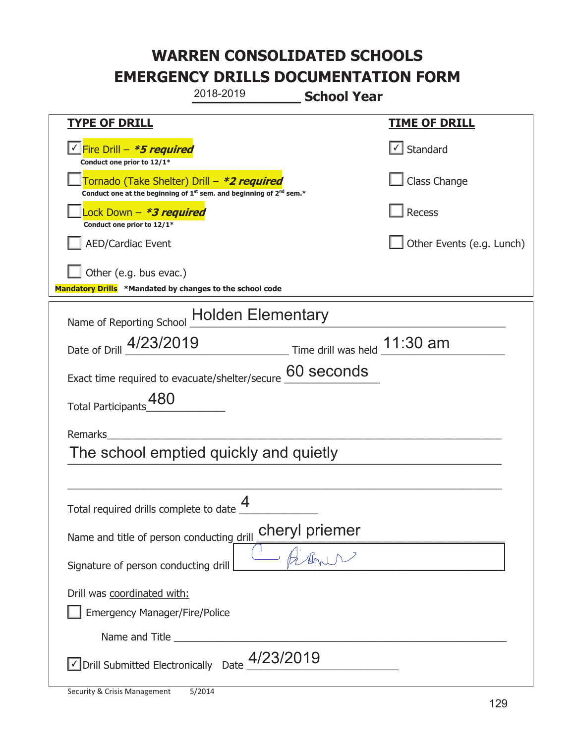|                                                                                    | 2018-2019                                                                                   | <b>School Year</b>                                                            |                           |
|------------------------------------------------------------------------------------|---------------------------------------------------------------------------------------------|-------------------------------------------------------------------------------|---------------------------|
| <b>TYPE OF DRILL</b>                                                               |                                                                                             |                                                                               | <u>TIME OF DRILL</u>      |
| V Fire Drill - *5 required<br>Conduct one prior to 12/1*                           |                                                                                             |                                                                               | √ Standard                |
| Tornado (Take Shelter) Drill – *2 required                                         | Conduct one at the beginning of 1 <sup>st</sup> sem. and beginning of 2 <sup>nd</sup> sem.* |                                                                               | Class Change              |
| ock Down – <b>*3 required</b><br>Conduct one prior to 12/1*                        |                                                                                             |                                                                               | Recess                    |
| <b>AED/Cardiac Event</b>                                                           |                                                                                             |                                                                               | Other Events (e.g. Lunch) |
| Other (e.g. bus evac.)<br>Mandatory Drills *Mandated by changes to the school code |                                                                                             |                                                                               |                           |
| Name of Reporting School Holden Elementary                                         |                                                                                             |                                                                               |                           |
| Date of Drill 4/23/2019                                                            |                                                                                             | $\frac{11:30 \text{ am}}{2}$ Time drill was held $\frac{11:30 \text{ am}}{2}$ |                           |
| Exact time required to evacuate/shelter/secure                                     |                                                                                             | 60 seconds                                                                    |                           |
| 480<br><b>Total Participants</b>                                                   |                                                                                             |                                                                               |                           |
| <b>Remarks</b>                                                                     |                                                                                             |                                                                               |                           |
| The school emptied quickly and quietly                                             |                                                                                             |                                                                               |                           |
|                                                                                    |                                                                                             |                                                                               |                           |
| Total required drills complete to date                                             | 4                                                                                           |                                                                               |                           |
| Name and title of person conducting drill                                          |                                                                                             | cheryl priemer                                                                |                           |
| Signature of person conducting drill                                               |                                                                                             |                                                                               |                           |
| Drill was coordinated with:<br><b>Emergency Manager/Fire/Police</b>                |                                                                                             |                                                                               |                           |
|                                                                                    |                                                                                             |                                                                               |                           |
| Drill Submitted Electronically Date                                                | 4/23/2019                                                                                   |                                                                               |                           |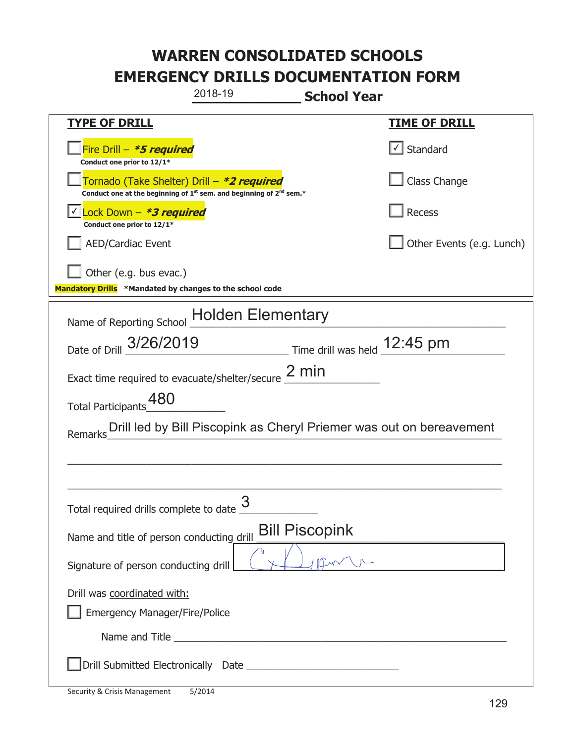|                                                                                    | 2018-19                                                                                     | <b>School Year</b>    |                                                                      |
|------------------------------------------------------------------------------------|---------------------------------------------------------------------------------------------|-----------------------|----------------------------------------------------------------------|
| <u>TYPE OF DRILL</u>                                                               |                                                                                             |                       | <b>TIME OF DRILL</b>                                                 |
| Fire Drill - *5 required<br>Conduct one prior to 12/1*                             |                                                                                             |                       | √ Standard                                                           |
| Tornado (Take Shelter) Drill – *2 required                                         | Conduct one at the beginning of 1 <sup>st</sup> sem. and beginning of 2 <sup>nd</sup> sem.* |                       | Class Change                                                         |
| Lock Down - *3 required<br>Conduct one prior to 12/1*                              |                                                                                             |                       | <b>Recess</b>                                                        |
| <b>AED/Cardiac Event</b>                                                           |                                                                                             |                       | Other Events (e.g. Lunch)                                            |
| Other (e.g. bus evac.)<br>Mandatory Drills *Mandated by changes to the school code |                                                                                             |                       |                                                                      |
| Name of Reporting School Holden Elementary                                         |                                                                                             |                       |                                                                      |
| Date of Drill 3/26/2019                                                            | Time drill was held 12:45 pm                                                                |                       |                                                                      |
| Exact time required to evacuate/shelter/secure $2 \text{ min}$                     |                                                                                             |                       |                                                                      |
| Total Participants_480                                                             |                                                                                             |                       |                                                                      |
| Remarks                                                                            |                                                                                             |                       | Drill led by Bill Piscopink as Cheryl Priemer was out on bereavement |
|                                                                                    |                                                                                             |                       |                                                                      |
|                                                                                    |                                                                                             |                       |                                                                      |
| Total required drills complete to date $\frac{3}{2}$                               |                                                                                             |                       |                                                                      |
| Name and title of person conducting drill                                          |                                                                                             | <b>Bill Piscopink</b> |                                                                      |
| Signature of person conducting drill                                               |                                                                                             |                       |                                                                      |
| Drill was coordinated with:<br><b>Emergency Manager/Fire/Police</b>                |                                                                                             |                       |                                                                      |
|                                                                                    | Name and Title <b>Name and Title</b>                                                        |                       |                                                                      |
|                                                                                    |                                                                                             |                       |                                                                      |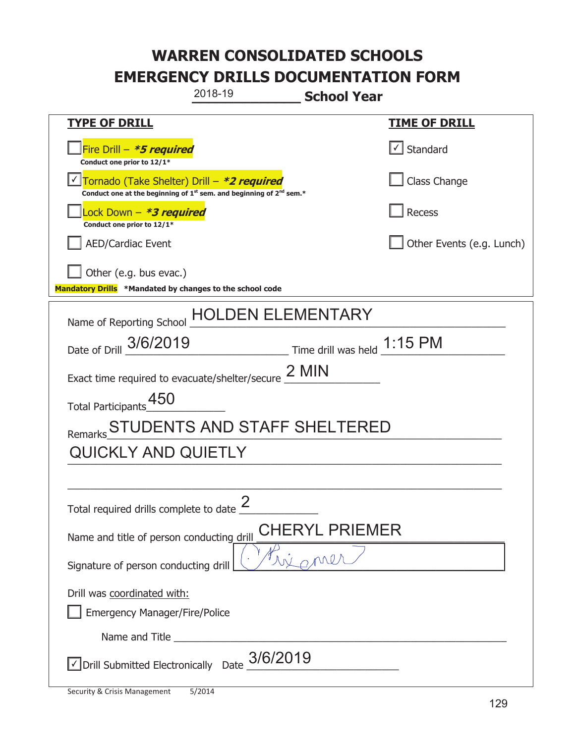|                                                                                    | 2018-19                                                                                     | <b>School Year</b>          |                           |
|------------------------------------------------------------------------------------|---------------------------------------------------------------------------------------------|-----------------------------|---------------------------|
| <u>TYPE OF DRILL</u>                                                               |                                                                                             |                             | <u>TIME OF DRILL</u>      |
| Fire Drill - *5 required<br>Conduct one prior to 12/1*                             |                                                                                             |                             | Standard                  |
| Tornado (Take Shelter) Drill - *2 required                                         | Conduct one at the beginning of 1 <sup>st</sup> sem. and beginning of 2 <sup>nd</sup> sem.* |                             | Class Change              |
| Lock Down - *3 required<br>Conduct one prior to 12/1*                              |                                                                                             |                             | Recess                    |
| <b>AED/Cardiac Event</b>                                                           |                                                                                             |                             | Other Events (e.g. Lunch) |
| Other (e.g. bus evac.)<br>Mandatory Drills *Mandated by changes to the school code |                                                                                             |                             |                           |
| Name of Reporting School                                                           | HOLDEN ELEMENTARY                                                                           |                             |                           |
| Date of Drill 3/6/2019                                                             |                                                                                             | Time drill was held 1:15 PM |                           |
| Exact time required to evacuate/shelter/secure $2$ MIN                             |                                                                                             |                             |                           |
| Total Participants_450                                                             |                                                                                             |                             |                           |
| Remarks                                                                            | STUDENTS AND STAFF SHELTERED                                                                |                             |                           |
| <b>QUICKLY AND QUIETLY</b>                                                         |                                                                                             |                             |                           |
|                                                                                    |                                                                                             |                             |                           |
| Total required drills complete to date $\frac{2}{3}$                               |                                                                                             |                             |                           |
| Name and title of person conducting drill                                          |                                                                                             | CHERYL PRIEMER              |                           |
| Signature of person conducting drill                                               |                                                                                             | Krigne                      |                           |
| Drill was coordinated with:<br><b>Emergency Manager/Fire/Police</b>                |                                                                                             |                             |                           |
|                                                                                    |                                                                                             |                             |                           |
| √ Drill Submitted Electronically Date                                              | 3/6/2019                                                                                    |                             |                           |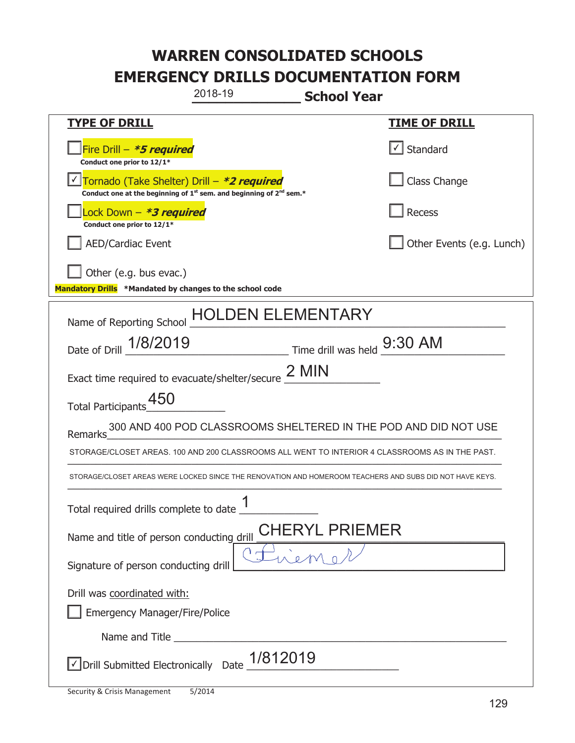| 2018-19<br><b>School Year</b>                                                                                                             |                                       |  |
|-------------------------------------------------------------------------------------------------------------------------------------------|---------------------------------------|--|
| <b>TYPE OF DRILL</b>                                                                                                                      | <u>TIME OF DRILL</u>                  |  |
| Fire Drill - *5 required<br>Conduct one prior to 12/1*                                                                                    | $\lfloor \checkmark \rfloor$ Standard |  |
| Tornado (Take Shelter) Drill - *2 required<br>Conduct one at the beginning of 1 <sup>st</sup> sem. and beginning of 2 <sup>nd</sup> sem.* | Class Change                          |  |
| Lock Down - <b>*3 required</b><br>Conduct one prior to 12/1*                                                                              | Recess                                |  |
| <b>AED/Cardiac Event</b>                                                                                                                  | Other Events (e.g. Lunch)             |  |
| Other (e.g. bus evac.)<br>Mandatory Drills *Mandated by changes to the school code                                                        |                                       |  |
| Name of Reporting School HOLDEN ELEMENTARY                                                                                                |                                       |  |
| Date of Drill 1/8/2019<br>Time drill was held 9:30 AM                                                                                     |                                       |  |
| Exact time required to evacuate/shelter/secure 2 MIN                                                                                      |                                       |  |
| Total Participants_450                                                                                                                    |                                       |  |
| 300 AND 400 POD CLASSROOMS SHELTERED IN THE POD AND DID NOT USE<br>Remarks                                                                |                                       |  |
| STORAGE/CLOSET AREAS. 100 AND 200 CLASSROOMS ALL WENT TO INTERIOR 4 CLASSROOMS AS IN THE PAST.                                            |                                       |  |
| STORAGE/CLOSET AREAS WERE LOCKED SINCE THE RENOVATION AND HOMEROOM TEACHERS AND SUBS DID NOT HAVE KEYS.                                   |                                       |  |
| 1<br>Total required drills complete to date _                                                                                             |                                       |  |
| CHERYL PRIEMER<br>Name and title of person conducting drill                                                                               |                                       |  |
| Signature of person conducting drill                                                                                                      |                                       |  |
| Drill was coordinated with:                                                                                                               |                                       |  |
| <b>Emergency Manager/Fire/Police</b>                                                                                                      |                                       |  |
|                                                                                                                                           |                                       |  |
| $\vee$ Drill Submitted Electronically Date $\_1/812019$                                                                                   |                                       |  |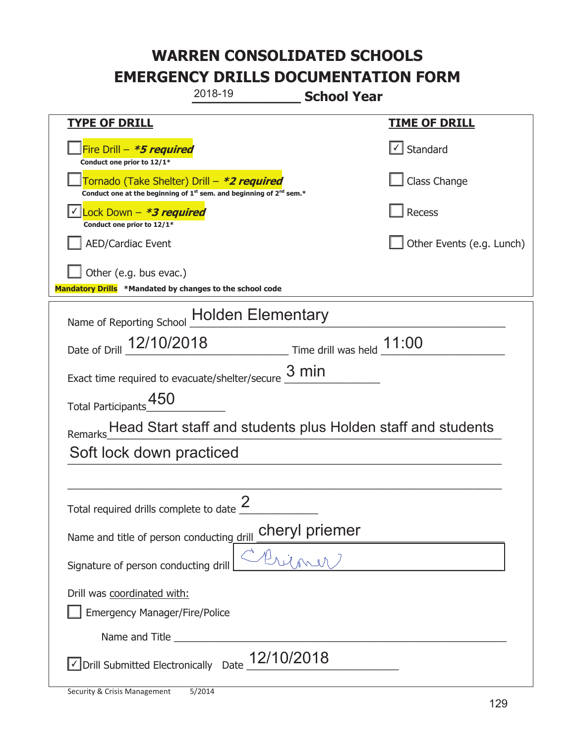| 2018-19<br><b>School Year</b>                                                                                                             |                           |  |
|-------------------------------------------------------------------------------------------------------------------------------------------|---------------------------|--|
| <b>TYPE OF DRILL</b>                                                                                                                      | <u>TIME OF DRILL</u>      |  |
| Fire Drill - *5 required<br>Conduct one prior to 12/1*                                                                                    | Standard                  |  |
| Tornado (Take Shelter) Drill – *2 required<br>Conduct one at the beginning of 1 <sup>st</sup> sem. and beginning of 2 <sup>nd</sup> sem.* | Class Change              |  |
| Lock Down - *3 required<br>Conduct one prior to 12/1*                                                                                     | Recess                    |  |
| <b>AED/Cardiac Event</b>                                                                                                                  | Other Events (e.g. Lunch) |  |
| Other (e.g. bus evac.)<br>Mandatory Drills *Mandated by changes to the school code                                                        |                           |  |
| Name of Reporting School Holden Elementary                                                                                                |                           |  |
| Date of Drill 12/10/2018 Time drill was held 11:00                                                                                        |                           |  |
| 3 min<br>Exact time required to evacuate/shelter/secure                                                                                   |                           |  |
| Total Participants_450                                                                                                                    |                           |  |
| Head Start staff and students plus Holden staff and students<br>Remarks                                                                   |                           |  |
| Soft lock down practiced                                                                                                                  |                           |  |
|                                                                                                                                           |                           |  |
| Total required drills complete to date $\frac{2}{3}$                                                                                      |                           |  |
| $rac{\text{cheryl priemer}}{n}$<br>Name and title of person conducting drill                                                              |                           |  |
| Signature of person conducting drill                                                                                                      |                           |  |
| Drill was coordinated with:<br><b>Emergency Manager/Fire/Police</b>                                                                       |                           |  |
|                                                                                                                                           |                           |  |
| $\sqrt{2}$ Drill Submitted Electronically Date $12/10/2018$                                                                               |                           |  |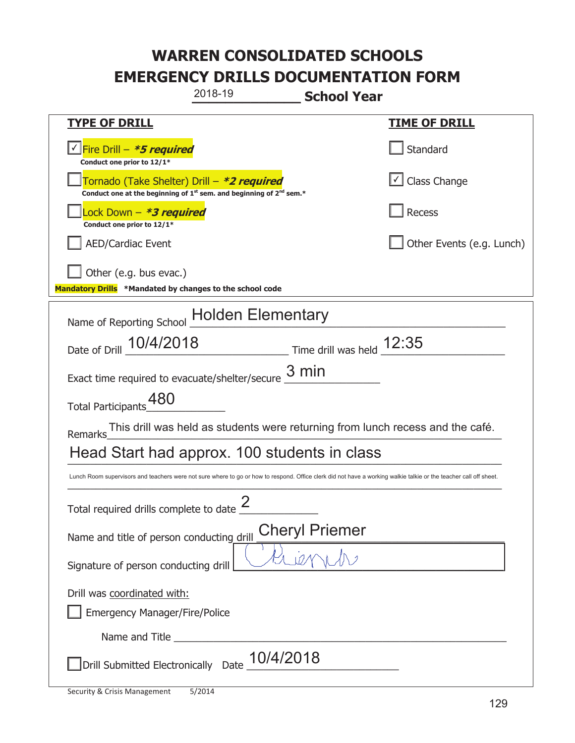| 2018-19<br><b>School Year</b>                                                                                                                                     |                           |  |
|-------------------------------------------------------------------------------------------------------------------------------------------------------------------|---------------------------|--|
| <b>TYPE OF DRILL</b>                                                                                                                                              | <b>TIME OF DRILL</b>      |  |
| √ Fire Drill – <i>*<b>5 required</b></i><br>Conduct one prior to 12/1*                                                                                            | Standard                  |  |
| Tornado (Take Shelter) Drill – *2 required<br>Conduct one at the beginning of $1^{st}$ sem. and beginning of $2^{nd}$ sem.*                                       | $\cup$ Class Change       |  |
| Lock Down – <b>*<i>3 required</i></b><br>Conduct one prior to 12/1*                                                                                               | Recess                    |  |
| <b>AED/Cardiac Event</b>                                                                                                                                          | Other Events (e.g. Lunch) |  |
| Other (e.g. bus evac.)<br>Mandatory Drills *Mandated by changes to the school code                                                                                |                           |  |
| Name of Reporting School Holden Elementary                                                                                                                        |                           |  |
| Date of Drill 10/4/2018 Time drill was held 12:35                                                                                                                 |                           |  |
| Exact time required to evacuate/shelter/secure $\underline{3}$ min                                                                                                |                           |  |
| Total Participants_480                                                                                                                                            |                           |  |
| This drill was held as students were returning from lunch recess and the café.<br>Remarks                                                                         |                           |  |
| Head Start had approx. 100 students in class                                                                                                                      |                           |  |
| Lunch Room supervisors and teachers were not sure where to go or how to respond. Office clerk did not have a working walkie talkie or the teacher call off sheet. |                           |  |
| っ<br>Total required drills complete to date $\leq$                                                                                                                |                           |  |
| <b>Cheryl Priemer</b><br>Name and title of person conducting drill                                                                                                |                           |  |
| Signature of person conducting drill                                                                                                                              |                           |  |
| Drill was coordinated with:<br><b>Emergency Manager/Fire/Police</b>                                                                                               |                           |  |
|                                                                                                                                                                   |                           |  |
| Drill Submitted Electronically Date 10/4/2018                                                                                                                     |                           |  |